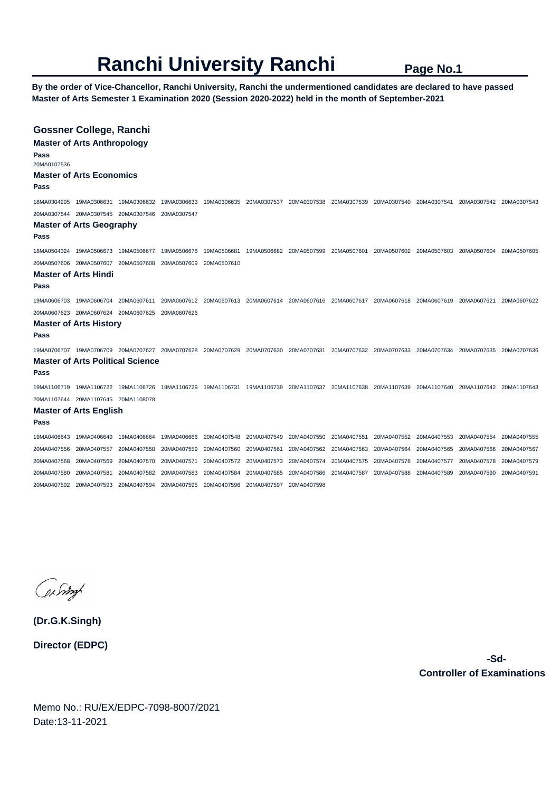## **Ranchi University Ranchi** Page No.1

**By the order of Vice-Chancellor, Ranchi University, Ranchi the undermentioned candidates are declared to have passed Master of Arts Semester 1 Examination 2020 (Session 2020-2022) held in the month of September-2021** 

| Pass<br>20MA0107536<br>Pass     | <b>Gossner College, Ranchi</b><br><b>Master of Arts Anthropology</b><br><b>Master of Arts Economics</b> |                         |             |                         |             |                                                                                                 |             |                                     |             |                         |             |
|---------------------------------|---------------------------------------------------------------------------------------------------------|-------------------------|-------------|-------------------------|-------------|-------------------------------------------------------------------------------------------------|-------------|-------------------------------------|-------------|-------------------------|-------------|
|                                 |                                                                                                         | 19MA0306632             | 19MA0306633 | 19MA0306635 20MA0307537 |             | 20MA0307538                                                                                     | 20MA0307539 |                                     |             |                         |             |
|                                 | 20MA0307544 20MA0307545 20MA0307546                                                                     |                         | 20MA0307547 |                         |             |                                                                                                 |             |                                     |             |                         |             |
| <b>Master of Arts Geography</b> |                                                                                                         |                         |             |                         |             |                                                                                                 |             |                                     |             |                         |             |
| Pass                            |                                                                                                         |                         |             |                         |             |                                                                                                 |             |                                     |             |                         |             |
|                                 | 18MA0504324 19MA0506673                                                                                 | 19MA0506677             | 19MA0506678 | 19MA0506681             | 19MA0506682 | 20MA0507599 20MA0507601                                                                         |             | 20MA0507602 20MA0507603             |             | 20MA0507604             | 20MA0507605 |
|                                 | 20MA0507606 20MA0507607                                                                                 | 20MA0507608 20MA0507609 |             | 20MA0507610             |             |                                                                                                 |             |                                     |             |                         |             |
| Pass                            | <b>Master of Arts Hindi</b>                                                                             |                         |             |                         |             |                                                                                                 |             |                                     |             |                         |             |
|                                 |                                                                                                         | 20MA0607611             |             |                         |             | 20MA0607612 20MA0607613 20MA0607614 20MA0607616 20MA0607617 20MA0607618 20MA0607619 20MA0607621 |             |                                     |             |                         | 20MA0607622 |
|                                 |                                                                                                         |                         |             |                         |             |                                                                                                 |             |                                     |             |                         |             |
| Pass                            | <b>Master of Arts History</b>                                                                           |                         |             |                         |             |                                                                                                 |             |                                     |             |                         |             |
|                                 | 19MA0706707    19MA0706709    20MA0707627    20MA0707628    20MA0707629    20MA0707630                  |                         |             |                         |             | 20MA0707631                                                                                     |             | 20MA0707632 20MA0707633 20MA0707634 |             | 20MA0707635 20MA0707636 |             |
| Pass                            | <b>Master of Arts Political Science</b>                                                                 |                         |             |                         |             |                                                                                                 |             |                                     |             |                         |             |
|                                 | 19MA1106719 19MA1106722 19MA1106726 19MA1106729 19MA1106731 19MA1106739                                 |                         |             |                         |             | 20MA1107637                                                                                     | 20MA1107638 | 20MA1107639 20MA1107640             |             | 20MA1107642 20MA1107643 |             |
|                                 | 20MA1107644 20MA1107645 20MA1108078                                                                     |                         |             |                         |             |                                                                                                 |             |                                     |             |                         |             |
| Pass                            | <b>Master of Arts English</b>                                                                           |                         |             |                         |             |                                                                                                 |             |                                     |             |                         |             |
| 19MA0406643                     | 19MA0406649                                                                                             | 19MA0406664             | 19MA0406666 | 20MA0407548             | 20MA0407549 | 20MA0407550                                                                                     | 20MA0407551 | 20MA0407552                         | 20MA0407553 | 20MA0407554             | 20MA0407555 |
| 20MA0407556                     | 20MA0407557                                                                                             | 20MA0407558             | 20MA0407559 | 20MA0407560             | 20MA0407561 | 20MA0407562                                                                                     | 20MA0407563 | 20MA0407564                         | 20MA0407565 | 20MA0407566             | 20MA0407567 |
| 20MA0407568                     | 20MA0407569                                                                                             | 20MA0407570             | 20MA0407571 | 20MA0407572             | 20MA0407573 | 20MA0407574                                                                                     | 20MA0407575 | 20MA0407576                         | 20MA0407577 | 20MA0407578             | 20MA0407579 |
| 20MA0407580                     | 20MA0407581                                                                                             | 20MA0407582             | 20MA0407583 | 20MA0407584             | 20MA0407585 | 20MA0407586                                                                                     | 20MA0407587 | 20MA0407588                         | 20MA0407589 | 20MA0407590             | 20MA0407591 |
|                                 | 20MA0407592 20MA0407593                                                                                 | 20MA0407594             | 20MA0407595 | 20MA0407596             | 20MA0407597 | 20MA0407598                                                                                     |             |                                     |             |                         |             |

(physing

**(Dr.G.K.Singh) Director (EDPC)**

> **-Sd-Controller of Examinations**

Memo No.: RU/EX/EDPC-7098-8007/2021 Date:13-11-2021